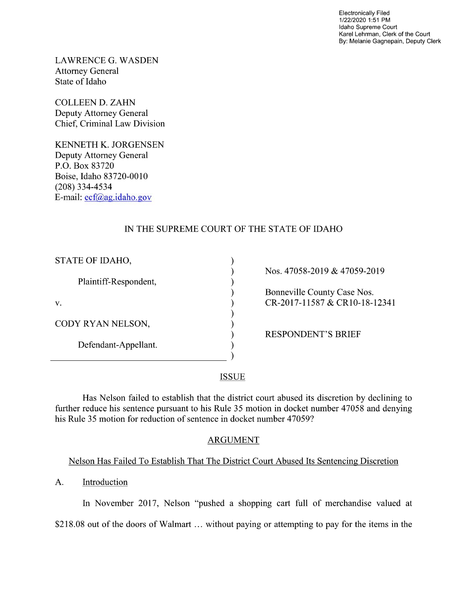Electronically Filed 1/22/2020 1:51 PM Idaho Supreme Court Karel Lehrman, Clerk of the Court By: Melanie Gagnepain, Deputy Clerk

LAWRENCE G. WASDEN Attorney General State of Idaho

COLLEEN D. ZAHN Deputy Attorney General Chief, Criminal Law Division

KENNETH K. JORGENSEN Deputy Attorney General P.O. Box 83720 Boise, Idaho 83720-0010 (208) 334—4534 E—mail: ecf@ag.idaho.g0v

# IN THE SUPREME COURT OF THE STATE OF IDAHO

 $\mathcal{E}$  $\lambda$  $\lambda$  $\lambda$ 

 $\lambda$  $\lambda$ 

| STATE OF IDAHO,       |
|-----------------------|
| Plaintiff-Respondent, |
| v.                    |
| CODY RYAN NELSON,     |
| Defendant-Appellant.  |
|                       |

Nos. 47058-2019 & 47059-2019

Bonneville County Case Nos. (exp. 2017-11587 & CR10-18-12341)

RESPONDENT'S BRIEF

#### **ISSUE**

Has Nelson failed to establish that the district court abused its discretion by declining to further reduce his sentence pursuant to his Rule 35 motion in docket number 47058 and denying his Rule 35 motion for reduction of sentence in docket number 47059?

## ARGUMENT

## Nelson Has Failed T0 Establish That The District Court Abused Its Sentencing Discretion

A. Introduction

In November 2017, Nelson "pushed a shopping cart full of merchandise valued at \$218.08 out of the doors of Walmart  $\ldots$  without paying or attempting to pay for the items in the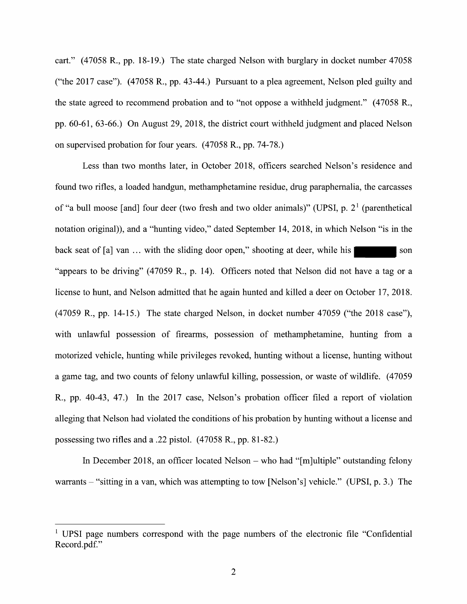cart." (47058 R., pp. 18-19.) The state charged Nelson with burglary in docket number 47058 ("the 2017 case").  $(47058 \text{ R}., \text{pp. } 43-44.)$  Pursuant to a plea agreement, Nelson pled guilty and the state agreed to recommend probation and to "not oppose a withheld judgment."  $(47058 \text{ R}.,$ pp. 60-61, 63-66.) On August 29, 2018, the district court withheld judgment and placed Nelson 0n supervised probation for four years. (47058 R., pp. 74-78.)

Less than two months later, in October 2018, officers searched Nelson's residence and found two rifles, a loaded handgun, methamphetamine residue, drug paraphernalia, the carcasses of "a bull moose [and] four deer (two fresh and two older animals)" (UPSI, p.  $2<sup>1</sup>$  (parenthetical notation original)), and a "hunting video," dated September 14, 2018, in which Nelson "is in the back seat of  $[a]$  van ... with the sliding door open," shooting at deer, while his  $\blacksquare$  son "appears to be driving"  $(47059 \text{ R}., p. 14)$ . Officers noted that Nelson did not have a tag or a license to hunt, and Nelson admitted that he again hunted and killed a deer on October 17, 2018. (47059 R., pp. 14-15.) The state charged Nelson, in docket number 47059 ("the 2018 case"), with unlawful possession of firearms, possession of methamphetamine, hunting from a motorized vehicle, hunting while privileges revoked, hunting without a license, hunting without game tag, and two counts of felony unlawful killing, possession, or waste of wildlife. (47059 R., pp. 40-43, 47.) In the 2017 case, Nelson's probation officer filed a report of violation alleging that Nelson had violated the conditions of his probation by hunting without a license and possessing two rifles and a .22 pistol.  $(47058 \text{ R}., \text{pp. }81-82.)$ 

In December 2018, an officer located Nelson  $-$  who had "[m]ultiple" outstanding felony warrants  $-$  "sitting in a van, which was attempting to tow [Nelson's] vehicle." (UPSI, p. 3.) The

<sup>&</sup>lt;sup>1</sup> UPSI page numbers correspond with the page numbers of the electronic file "Confidential" Record.pdf."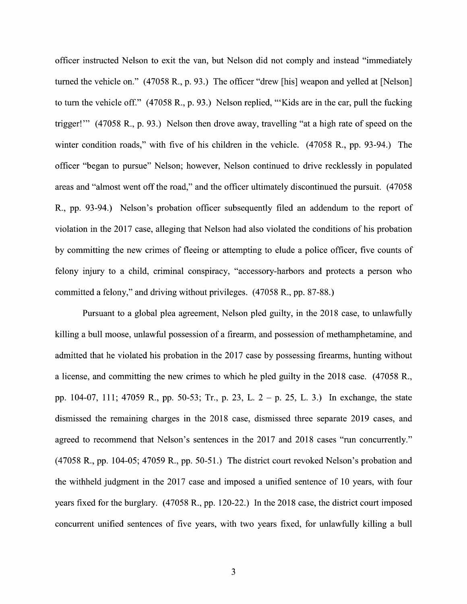officer instructed Nelson to exit the van, but Nelson did not comply and instead "immediately turned the vehicle on." (47058 R., p. 93.) The officer "drew [his] weapon and yelled at [Nelson] to turn the vehicle of f." (47058 R., p. 93.) Nelson replied, "'Kids are in the car, pull the fucking trigger!"" (47058 R., p. 93.) Nelson then drove away, travelling "at a high rate of speed on the winter condition roads," with five of his children in the vehicle. (47058 R., pp. 93-94.) The officer "began to pursue" Nelson; however, Nelson continued to drive recklessly in populated areas and "almost went off the road," and the officer ultimately discontinued the pursuit. (47058 R., pp. 93-94.) Nelson's probation officer subsequently filed an addendum to the report of Violation in the 2017 case, alleging that Nelson had also violated the conditions of his probation by committing the new crimes of fleeing or attempting to elude a police officer, five counts of felony injury to a child, criminal conspiracy, "accessory-harbors and protects a person who committed a felony," and driving without privileges. (47058 R., pp. 87-88.)

Pursuant to a global plea agreement, Nelson pled guilty, in the 2018 case, to unlawfully killing a bull moose, unlawful possession of a firearm, and possession of methamphetamine, and admitted that he violated his probation in the 2017 case by possessing firearms, hunting without a license, and committing the new crimes to which he pled guilty in the 2018 case. (47058 R., pp. 104-07, 111; 47059 R., pp. 50-53; Tr., p. 23, L. p. 25, L. 3.) In exchange, the state dismissed the remaining charges in the 2018 case, dismissed three separate 2019 cases, and agreed to recommend that Nelson's sentences in the 2017 and 2018 cases "run concurrently." (47058 R., pp. 104-05; 47059 R., pp. 50-51.) The district court revoked Nelson's probation and the withheld judgment in the 2017 case and imposed a unified sentence of 10 years, with four years fixed for the burglary. (47058 R., pp. 120-22.) In the 2018 case, the district court imposed concurrent unified sentences of five years, with two years fixed, for unlawfully killing a bull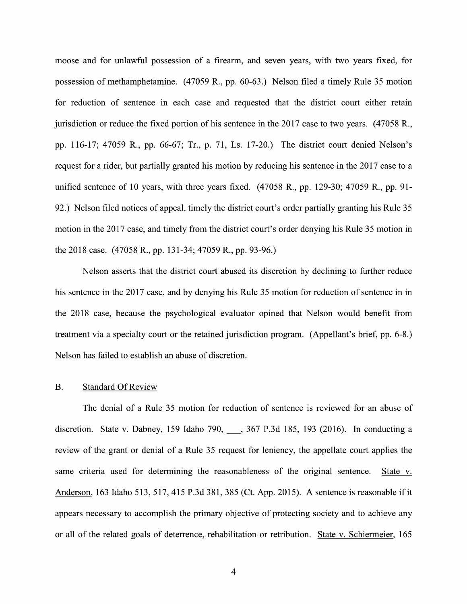moose and for unlawful possession of a firearm, and seven years, with two years fixed, for possession of methamphetamine. (47059 R., pp. 60-63.) Nelson filed a timely Rule 35 motion for reduction of sentence in each case and requested that the district court either retain jurisdiction or reduce the fixed portion of his sentence in the 2017 case to two years. (47058 R., pp. 116-17; 47059 R., pp. 66-67; Tr., p. 71, Ls. 17-20.) The district court denied Nelson's request for a rider, but partially granted his motion by reducing his sentence in the 2017 case to a unified sentence of 10 years, with three years fixed. (47058 R., pp. 129-30; 47059 R., pp. 91- 92.) Nelson filed notices 0f appeal, timely the district court's order partially granting his Rule 35 motion in the 2017 case, and timely from the district court's order denying his Rule 35 motion in the 2018 case. (47058 R., pp. 131-34; 47059 R., pp. 93-96.)

Nelson asserts that the district court abused its discretion by declining t0 further reduce his sentence in the <sup>2017</sup> case, and by denying his Rule <sup>35</sup> motion for reduction of sentence in in the 2018 case, because the psychological evaluator opined that Nelson would benefit from treatment via a specialty court or the retained jurisdiction program. (Appellant's brief, pp. 6-8.) Nelson has failed to establish an abuse of discretion.

#### B. Standard Of Review

The denial of a Rule 35 motion for reduction of sentence is reviewed for an abuse of discretion. State v. Dabney, 159 Idaho 790, 367 P.3d 185, 193 (2016). In conducting a review of the grant or denial of a Rule 35 request for leniency, the appellate court applies the same criteria used for determining the reasonableness of the original sentence. State v. Anderson, 163 Idaho 513, 517, 415 P.3d 381, 385 (Ct. App. 2015). A sentence is reasonable if it appears necessary to accomplish the primary objective of protecting society and to achieve any 0r all of the related goals of deterrence, rehabilitation or retribution. State V. Schiermeier, 165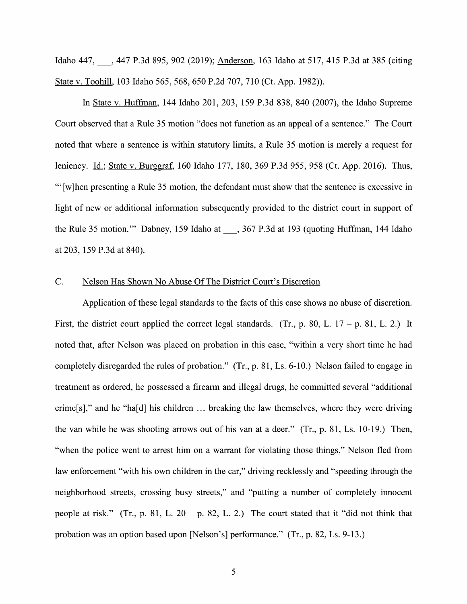Idaho 447, \_, <sup>447</sup> P.3d 895, <sup>902</sup> (2019); Anderson, <sup>163</sup> Idaho at 517, <sup>415</sup> P.3d at <sup>385</sup> (citing State V. Toohill, <sup>103</sup> Idaho 565, 568, <sup>650</sup> P.2d 707, <sup>710</sup> (Ct. App. 1982)).

In State V. Huffman, 144 Idaho 201, 203, 159 P.3d 838, 840 (2007), the Idaho Supreme Court observed that a Rule 35 motion "does not function as an appeal of a sentence." The Court noted that where a sentence is within statutory limits, a Rule 35 motion is merely a request for leniency. Id.; State v. Burggraf, 160 Idaho 177, 180, 369 P.3d 955, 958 (Ct. App. 2016). Thus, "'[w]hen presenting a Rule 35 motion, the defendant must show that the sentence is excessive in light of new or additional information subsequently provided to the district court in support of the Rule 35 motion."" Dabney, 159 Idaho at \_\_\_, 367 P.3d at 193 (quoting Huffman, 144 Idaho at 203, 159 P.3d at 840).

#### C. Nelson Has Shown No Abuse Of The District Court's Discretion

Application of these legal standards to the facts of this case shows no abuse of discretion. First, the district court applied the correct legal standards. (Tr., p. 80, L.  $17 - p$ , 81, L. 2.) It noted that, after Nelson was placed on probation in this case, "within a very short time he had completely disregarded the rules of probation."  $(Tr, p. 81, Ls. 6-10)$  Nelson failed to engage in treatment as ordered, he possessed a firearm and illegal drugs, he committed several "additional crime[s]," and he "ha[d] his children  $\ldots$  breaking the law themselves, where they were driving the van while he was shooting arrows out of his van at a deer." (Tr., p. 81, Ls. 10-19.) Then, "when the police went to arrest him on a warrant for violating those things," Nelson fled from law enforcement "with his own children in the car," driving recklessly and "speeding through the neighborhood streets, crossing busy streets," and "putting a number of completely innocent people at risk." (Tr., p. 81, L. 20 – p. 82, L. 2.) The court stated that it "did not think that probation was an option based upon [Nelson's] performance." (Tr., p. 82, Ls. 9-13.)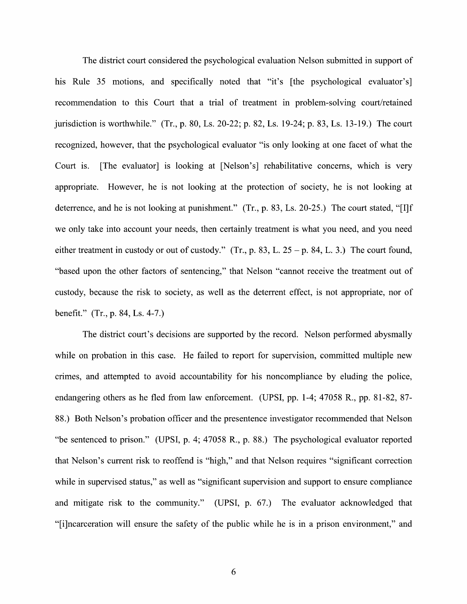The district court considered the psychological evaluation Nelson submitted in support of his Rule 35 motions, and specifically noted that "it's [the psychological evaluator's] recommendation to this Court that a trial of treatment in problem-solving court/retained jurisdiction is worthwhile." (Tr., p. 80, Ls. 20-22; p. 82, Ls. 19-24; p. 83, Ls. 13-19.) The court recognized, however, that the psychological evaluator "is only looking at one facet of What the Court is. [The evaluator] is looking at [Nelson's] rehabilitative concerns, Which is very appropriate. However, he is not looking at the protection 0f society, he is not looking at deterrence, and he is not looking at punishment."  $(Tr, p. 83, Ls. 20-25)$  The court stated, "[I]f we only take into account your needs, then certainly treatment is What you need, and you need either treatment in custody or out of custody." (Tr., p. 83, L.  $25 - p$ . 84, L. 3.) The court found, "based upon the other factors of sentencing," that Nelson "cannot receive the treatment out of custody, because the risk to society, as well as the deterrent effect, is not appropriate, nor of benefit."  $(Tr., p. 84, Ls. 4-7.)$ 

The district court's decisions are supported by the record. Nelson performed abysmally while on probation in this case. He failed to report for supervision, committed multiple new crimes, and attempted to avoid accountability for his noncompliance by eluding the police, endangering others as he fled from law enforcement. (UPSI, pp. 1-4; 47058 R., pp. 81-82, 87- 88.) Both Nelson's probation officer and the presentence investigator recommended that Nelson "be sentenced to prison." (UPSI, p. 4; 47058 R., p. 88.) The psychological evaluator reported that Nelson's current risk t0 reoffend is "high," and that Nelson requires "significant correction while in supervised status," as well as "significant supervision and support to ensure compliance and mitigate risk to the community." (UPSI, p. 67.) The evaluator acknowledged that "[i]ncarceration will ensure the safety of the public while he is in a prison environment," and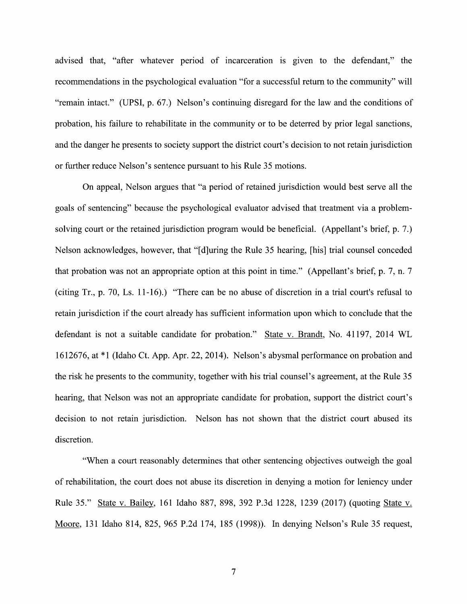advised that, "after whatever period of incarceration is given to the defendant," the recommendations in the psychological evaluation "for a successful return to the community" will<br>"remain intact." (UPSI, p. 67.) Nelson's continuing disregard for the law and the conditions of probation, his failure t0 rehabilitate in the community 0r to be deterred by prior legal sanctions, and the danger he presents to society support the district court's decision to not retain jurisdiction or further reduce Nelson's sentence pursuant t0 his Rule 35 motions.

On appeal, Nelson argues that "a period of retained jurisdiction would best serve all the goals of sentencing" because the psychological evaluator advised that treatment via a problemsolving court or the retained jurisdiction program would be beneficial. (Appellant's brief, p. 7.) Nelson acknowledges, however, that "[d]uring the Rule 35 hearing, [his] trial counsel conceded that probation was not an appropriate option at this point in time." (Appellant's brief, p. 7, n. (citing Tr., p. 70, Ls. 11-16).) "There can be no abuse of discretion in a trial court's refusal to retain jurisdiction if the court already has sufficient information upon which to conclude that the defendant is not a suitable candidate for probation." State v. Brandt, No. 41197, 2014 WL 1612676, at \*1 (Idaho Ct. App. Apr. 22, 2014). Nelson's abysmal performance 0n probation and the risk he presents t0 the community, together with his trial counsel's agreement, at the Rule 35 hearing, that Nelson was not an appropriate candidate for probation, support the district court's decision to not retain jurisdiction. Nelson has not shown that the district court abused its discretion.

"When a court reasonably determines that other sentencing objectives outweigh the goal of rehabilitation, the court does not abuse its discretion in denying a motion for leniency under Rule 35." State v. Bailey, 161 Idaho 887, 898, 392 P.3d 1228, 1239 (2017) (quoting State v. Moore, <sup>131</sup> Idaho 814, 825, <sup>965</sup> P.2d 174, <sup>185</sup> (1998)). In denying Nelson's Rule <sup>35</sup> request,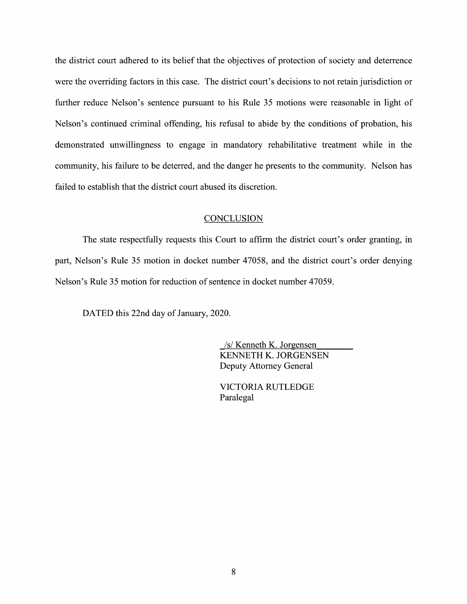the district court adhered to its belief that the objectives 0f protection of society and deterrence were the overriding factors in this case. The district court's decisions to not retain jurisdiction or further reduce Nelson's sentence pursuant to his Rule 35 motions were reasonable in light of Nelson's continued criminal offending, his refusal to abide by the conditions of probation, his demonstrated unwillingness to engage in mandatory rehabilitative treatment While in the community, his failure to be deterred, and the danger he presents to the community. Nelson has failed to establish that the district court abused its discretion.

#### **CONCLUSION**

The state respectfully requests this Court to affirm the district court's order granting, in part, Nelson's Rule 35 motion in docket number 47058, and the district court's order denying Nelson's Rule 35 motion for reduction 0f sentence in docket number 47059.

DATED this 22nd day 0f January, 2020.

\_/s/ Kenneth K. Jorgensen KENNETH K. JORGENSEN Deputy Attorney General

VICTORIA RUTLEDGE Paralegal